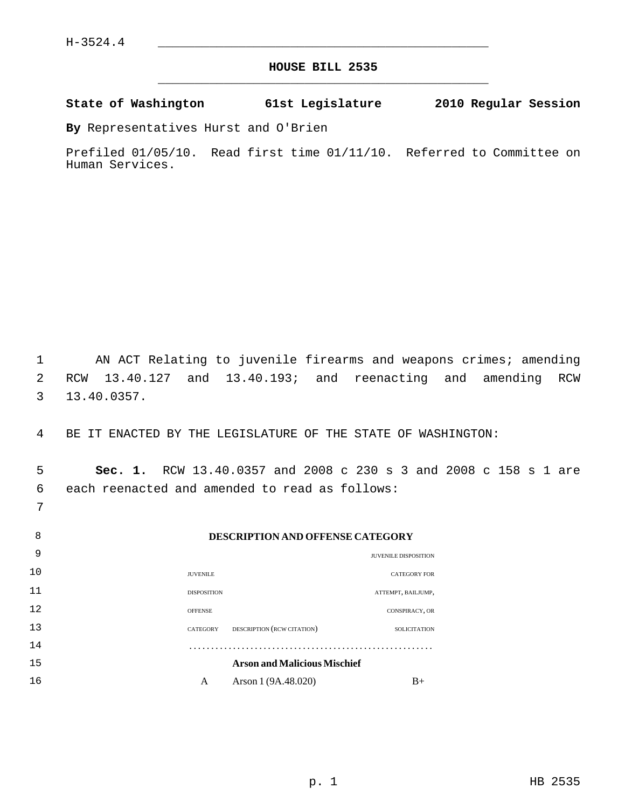7

# **HOUSE BILL 2535** \_\_\_\_\_\_\_\_\_\_\_\_\_\_\_\_\_\_\_\_\_\_\_\_\_\_\_\_\_\_\_\_\_\_\_\_\_\_\_\_\_\_\_\_\_

### **State of Washington 61st Legislature 2010 Regular Session**

**By** Representatives Hurst and O'Brien

Prefiled 01/05/10. Read first time 01/11/10. Referred to Committee on Human Services.

 1 AN ACT Relating to juvenile firearms and weapons crimes; amending 2 RCW 13.40.127 and 13.40.193; and reenacting and amending RCW 3 13.40.0357.

4 BE IT ENACTED BY THE LEGISLATURE OF THE STATE OF WASHINGTON:

 5 **Sec. 1.** RCW 13.40.0357 and 2008 c 230 s 3 and 2008 c 158 s 1 are 6 each reenacted and amended to read as follows:

| 8  |                    | DESCRIPTION AND OFFENSE CATEGORY    |                             |
|----|--------------------|-------------------------------------|-----------------------------|
| 9  |                    |                                     | <b>JUVENILE DISPOSITION</b> |
| 10 | <b>JUVENILE</b>    |                                     | <b>CATEGORY FOR</b>         |
| 11 | <b>DISPOSITION</b> |                                     | ATTEMPT, BAILJUMP,          |
| 12 | <b>OFFENSE</b>     |                                     | CONSPIRACY, OR              |
| 13 | CATEGORY           | DESCRIPTION (RCW CITATION)          | <b>SOLICITATION</b>         |
| 14 |                    |                                     |                             |
| 15 |                    | <b>Arson and Malicious Mischief</b> |                             |
| 16 | A                  | Arson 1 (9A.48.020)                 | $B+$                        |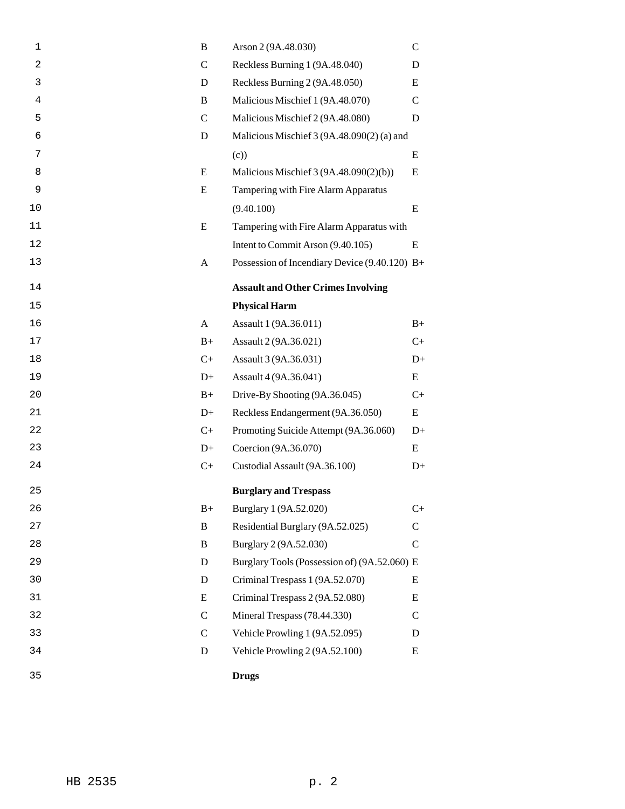| 1  | B             | Arson 2 (9A.48.030)                             | $\mathsf{C}$  |
|----|---------------|-------------------------------------------------|---------------|
| 2  | $\mathsf{C}$  | Reckless Burning 1 (9A.48.040)                  | D             |
| 3  | D             | Reckless Burning 2 (9A.48.050)                  | E             |
| 4  | B             | Malicious Mischief 1 (9A.48.070)                | $\mathcal{C}$ |
| 5  | $\mathcal{C}$ | Malicious Mischief 2 (9A.48.080)                | D             |
| 6  | D             | Malicious Mischief 3 (9A.48.090(2) (a) and      |               |
| 7  |               | (c)                                             | E             |
| 8  | E             | Malicious Mischief 3 (9A.48.090(2)(b))          | E             |
| 9  | E             | Tampering with Fire Alarm Apparatus             |               |
| 10 |               | (9.40.100)                                      | E             |
| 11 | E             | Tampering with Fire Alarm Apparatus with        |               |
| 12 |               | Intent to Commit Arson (9.40.105)               | E             |
| 13 | A             | Possession of Incendiary Device $(9.40.120)$ B+ |               |
| 14 |               | <b>Assault and Other Crimes Involving</b>       |               |
| 15 |               | <b>Physical Harm</b>                            |               |
| 16 | A             | Assault 1 (9A.36.011)                           | $B+$          |
| 17 | $B+$          | Assault 2 (9A.36.021)                           | $C+$          |
| 18 | $C+$          | Assault 3 (9A.36.031)                           | $D+$          |
| 19 | $D+$          | Assault 4 (9A.36.041)                           | E             |
| 20 | $B+$          | Drive-By Shooting (9A.36.045)                   | $C+$          |
| 21 | $D+$          | Reckless Endangerment (9A.36.050)               | E             |
| 22 | $C+$          | Promoting Suicide Attempt (9A.36.060)           | $D+$          |
| 23 | $D+$          | Coercion (9A.36.070)                            | E             |
| 24 | $C+$          | Custodial Assault (9A.36.100)                   | $D+$          |
| 25 |               | <b>Burglary and Trespass</b>                    |               |
| 26 | $B+$          | Burglary 1 (9A.52.020)                          | $C+$          |
| 27 | B             | Residential Burglary (9A.52.025)                | C             |
| 28 | B             | Burglary 2 (9A.52.030)                          | $\mathcal{C}$ |
| 29 | D             | Burglary Tools (Possession of) (9A.52.060) E    |               |
| 30 | D             | Criminal Trespass 1 (9A.52.070)                 | E             |
| 31 | E             | Criminal Trespass 2 (9A.52.080)                 | E             |
| 32 | $\mathsf{C}$  | Mineral Trespass (78.44.330)                    | $\mathcal{C}$ |
| 33 | $\mathcal{C}$ | Vehicle Prowling 1 (9A.52.095)                  | D             |
| 34 | D             | Vehicle Prowling 2 (9A.52.100)                  | E             |
| 35 |               | <b>Drugs</b>                                    |               |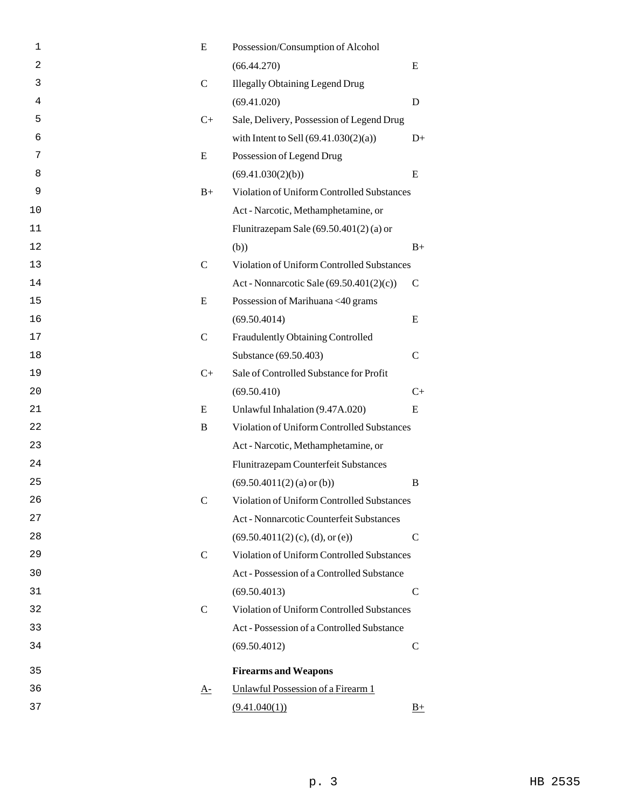| 1              | E             | Possession/Consumption of Alcohol               |               |
|----------------|---------------|-------------------------------------------------|---------------|
| $\overline{a}$ |               | (66.44.270)                                     | E             |
| 3              | $\mathbf C$   | <b>Illegally Obtaining Legend Drug</b>          |               |
| 4              |               | (69.41.020)                                     | D             |
| 5              | $C+$          | Sale, Delivery, Possession of Legend Drug       |               |
| 6              |               | with Intent to Sell $(69.41.030(2)(a))$         | $D+$          |
| 7              | E             | Possession of Legend Drug                       |               |
| 8              |               | (69.41.030(2)(b))                               | E             |
| 9              | $B+$          | Violation of Uniform Controlled Substances      |               |
| 10             |               | Act - Narcotic, Methamphetamine, or             |               |
| 11             |               | Flunitrazepam Sale $(69.50.401(2)(a)$ or        |               |
| 12             |               | (b))                                            | $B+$          |
| 13             | $\mathbf C$   | Violation of Uniform Controlled Substances      |               |
| 14             |               | Act - Nonnarcotic Sale (69.50.401(2)(c))        | $\mathcal{C}$ |
| 15             | E             | Possession of Marihuana <40 grams               |               |
| 16             |               | (69.50.4014)                                    | E             |
| 17             | $\mathbf C$   | Fraudulently Obtaining Controlled               |               |
| 18             |               | Substance (69.50.403)                           | $\mathsf{C}$  |
| 19             | $C+$          | Sale of Controlled Substance for Profit         |               |
| 20             |               | (69.50.410)                                     | $C+$          |
| 21             | E             | Unlawful Inhalation (9.47A.020)                 | E             |
| 22             | B             | Violation of Uniform Controlled Substances      |               |
| 23             |               | Act - Narcotic, Methamphetamine, or             |               |
| 24             |               | Flunitrazepam Counterfeit Substances            |               |
| 25             |               | $(69.50.4011(2)$ (a) or (b))                    | B             |
| 26             | C             | Violation of Uniform Controlled Substances      |               |
| 27             |               | <b>Act - Nonnarcotic Counterfeit Substances</b> |               |
| 28             |               | $(69.50.4011(2)$ (c), (d), or (e))              | $\mathcal{C}$ |
| 29             | $\mathcal{C}$ | Violation of Uniform Controlled Substances      |               |
| 30             |               | Act - Possession of a Controlled Substance      |               |
| 31             |               | (69.50.4013)                                    | C             |
| 32             | $\mathcal{C}$ | Violation of Uniform Controlled Substances      |               |
| 33             |               | Act - Possession of a Controlled Substance      |               |
| 34             |               | (69.50.4012)                                    | $\mathcal{C}$ |
| 35             |               | <b>Firearms and Weapons</b>                     |               |
| 36             | <u>A-</u>     | Unlawful Possession of a Firearm 1              |               |
| 37             |               | (9.41.040(1))                                   | $B+$          |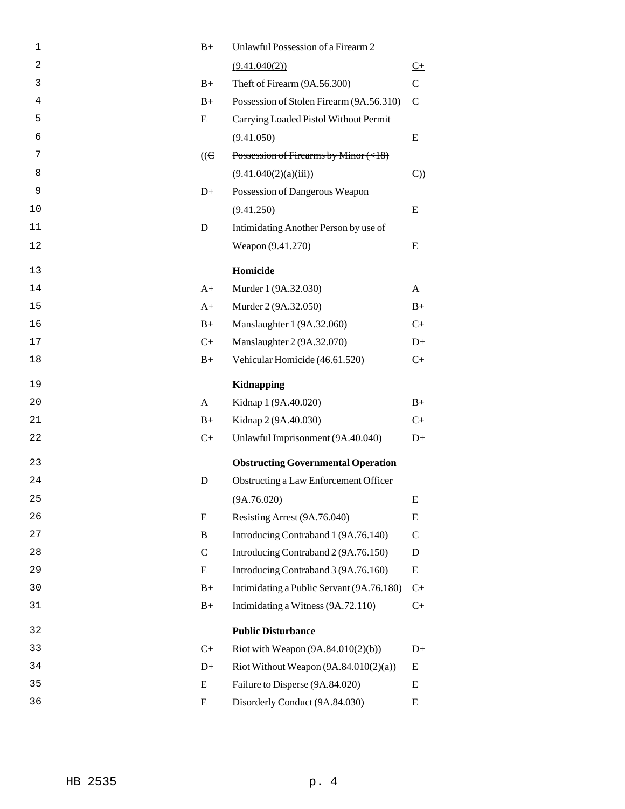| 1              | $B+$        | Unlawful Possession of a Firearm 2        |                  |
|----------------|-------------|-------------------------------------------|------------------|
| $\overline{c}$ |             | (9.41.040(2))                             | $\underline{C+}$ |
| 3              | $B_{\pm}$   | Theft of Firearm (9A.56.300)              | $\mathbf C$      |
| 4              | $B_{\pm}$   | Possession of Stolen Firearm (9A.56.310)  | $\mathbf C$      |
| 5              | E           | Carrying Loaded Pistol Without Permit     |                  |
| 6              |             | (9.41.050)                                | E                |
| 7              | (GE)        | Possession of Firearms by Minor (<18)     |                  |
| 8              |             | (9.41.040(2)(a)(iii))                     | $\Theta$ )       |
| 9              | $D+$        | Possession of Dangerous Weapon            |                  |
| 10             |             | (9.41.250)                                | E                |
| 11             | D           | Intimidating Another Person by use of     |                  |
| 12             |             | Weapon (9.41.270)                         | E                |
| 13             |             | Homicide                                  |                  |
| 14             | $A+$        | Murder 1 (9A.32.030)                      | A                |
| 15             | $A+$        | Murder 2 (9A.32.050)                      | $B+$             |
| 16             | $B+$        | Manslaughter 1 (9A.32.060)                | $C+$             |
| 17             | $C_{+}$     | Manslaughter 2 (9A.32.070)                | $D+$             |
| 18             | $B+$        | Vehicular Homicide (46.61.520)            | $C+$             |
|                |             |                                           |                  |
| 19             |             | <b>Kidnapping</b>                         |                  |
| 20             | A           | Kidnap 1 (9A.40.020)                      | $B+$             |
| 21             | $B+$        | Kidnap 2 (9A.40.030)                      | $C+$             |
| 22             | $C+$        | Unlawful Imprisonment (9A.40.040)         | $D+$             |
| 23             |             | <b>Obstructing Governmental Operation</b> |                  |
| 24             | D           | Obstructing a Law Enforcement Officer     |                  |
| 25             |             | (9A.76.020)                               | E                |
| 26             | E           | Resisting Arrest (9A.76.040)              | E                |
| 27             | B           | Introducing Contraband 1 (9A.76.140)      | $\mathsf{C}$     |
| 28             | $\mathbf C$ | Introducing Contraband 2 (9A.76.150)      | D                |
| 29             | E           | Introducing Contraband 3 (9A.76.160)      | E                |
| 30             | $B+$        | Intimidating a Public Servant (9A.76.180) | $C+$             |
| 31             | $B+$        | Intimidating a Witness (9A.72.110)        | $C+$             |
| 32             |             | <b>Public Disturbance</b>                 |                  |
| 33             | $C+$        | Riot with Weapon $(9A.84.010(2)(b))$      | $D+$             |
| 34             | $D+$        | Riot Without Weapon $(9A.84.010(2)(a))$   | E                |
| 35             | E           | Failure to Disperse (9A.84.020)           | E                |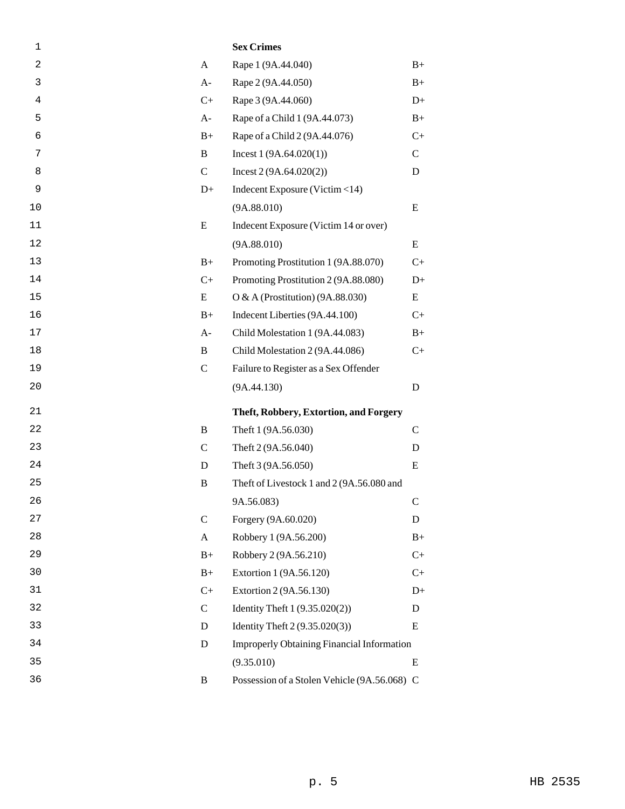| 1  |              | <b>Sex Crimes</b>                                 |               |
|----|--------------|---------------------------------------------------|---------------|
| 2  | A            | Rape 1 (9A.44.040)                                | $B+$          |
| 3  | $A-$         | Rape 2 (9A.44.050)                                | $B+$          |
| 4  | $C+$         | Rape 3 (9A.44.060)                                | $D+$          |
| 5  | $A-$         | Rape of a Child 1 (9A.44.073)                     | $B+$          |
| 6  | $B+$         | Rape of a Child 2 (9A.44.076)                     | $C+$          |
| 7  | B            | Incest $1(9A.64.020(1))$                          | $\mathbf C$   |
| 8  | $\mathbf C$  | Incest 2 (9A.64.020(2))                           | D             |
| 9  | $D+$         | Indecent Exposure (Victim <14)                    |               |
| 10 |              | (9A.88.010)                                       | E             |
| 11 | E            | Indecent Exposure (Victim 14 or over)             |               |
| 12 |              | (9A.88.010)                                       | E             |
| 13 | $B+$         | Promoting Prostitution 1 (9A.88.070)              | $C+$          |
| 14 | $C+$         | Promoting Prostitution 2 (9A.88.080)              | $D+$          |
| 15 | E            | O & A (Prostitution) $(9A.88.030)$                | E             |
| 16 | $B+$         | Indecent Liberties (9A.44.100)                    | $C+$          |
| 17 | $A-$         | Child Molestation 1 (9A.44.083)                   | $B+$          |
| 18 | B            | Child Molestation 2 (9A.44.086)                   | $C+$          |
| 19 | $\mathbf C$  | Failure to Register as a Sex Offender             |               |
| 20 |              | (9A.44.130)                                       | D             |
| 21 |              | Theft, Robbery, Extortion, and Forgery            |               |
| 22 | B            | Theft 1 (9A.56.030)                               | $\mathcal{C}$ |
| 23 | $\mathsf{C}$ | Theft 2 (9A.56.040)                               | D             |
| 24 | D            | Theft 3 (9A.56.050)                               | E             |
| 25 | B            | Theft of Livestock 1 and 2 (9A.56.080 and         |               |
| 26 |              | 9A.56.083)                                        | $\mathcal{C}$ |
| 27 | $\mathbf C$  | Forgery (9A.60.020)                               | D             |
| 28 | A            | Robbery 1 (9A.56.200)                             | $B+$          |
| 29 | $B+$         | Robbery 2 (9A.56.210)                             | $C+$          |
| 30 | $B+$         | Extortion 1 (9A.56.120)                           | $C+$          |
| 31 | $C+$         | Extortion 2 (9A.56.130)                           | $D+$          |
| 32 | $\mathsf{C}$ | Identity Theft $1(9.35.020(2))$                   | D             |
| 33 | D            | Identity Theft 2 (9.35.020(3))                    | E             |
| 34 | D            | <b>Improperly Obtaining Financial Information</b> |               |
| 35 |              | (9.35.010)                                        | E             |
| 36 | B            | Possession of a Stolen Vehicle (9A.56.068) C      |               |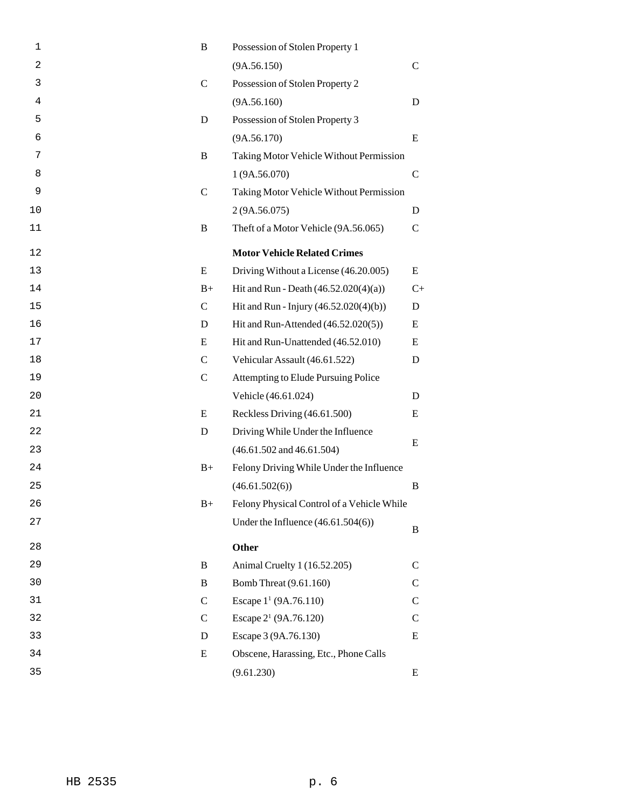| 1              | B             | Possession of Stolen Property 1            |              |
|----------------|---------------|--------------------------------------------|--------------|
| $\overline{a}$ |               | (9A.56.150)                                | $\mathsf{C}$ |
| 3              | $\mathsf{C}$  | Possession of Stolen Property 2            |              |
| 4              |               | (9A.56.160)                                | D            |
| 5              | D             | Possession of Stolen Property 3            |              |
| 6              |               | (9A.56.170)                                | E            |
| 7              | B             | Taking Motor Vehicle Without Permission    |              |
| 8              |               | 1 (9A.56.070)                              | $\mathsf{C}$ |
| 9              | $\mathsf{C}$  | Taking Motor Vehicle Without Permission    |              |
| 10             |               | 2(9A.56.075)                               | D            |
| 11             | B             | Theft of a Motor Vehicle (9A.56.065)       | $\mathsf{C}$ |
| 12             |               | <b>Motor Vehicle Related Crimes</b>        |              |
| 13             | E             | Driving Without a License (46.20.005)      | E            |
| 14             | $B+$          | Hit and Run - Death $(46.52.020(4)(a))$    | $C_{+}$      |
| 15             | $\mathsf{C}$  | Hit and Run - Injury (46.52.020(4)(b))     | D            |
| 16             | D             | Hit and Run-Attended $(46.52.020(5))$      | E            |
| 17             | E             | Hit and Run-Unattended (46.52.010)         | E            |
| 18             | $\mathcal{C}$ | Vehicular Assault (46.61.522)              | D            |
| 19             | $\mathsf{C}$  | Attempting to Elude Pursuing Police        |              |
| 20             |               | Vehicle (46.61.024)                        | D            |
| 21             | E             | Reckless Driving (46.61.500)               | E            |
| 22             | D             | Driving While Under the Influence          |              |
| 23             |               | $(46.61.502$ and $46.61.504)$              | E            |
| 24             | $B+$          | Felony Driving While Under the Influence   |              |
| 25             |               | (46.61.502(6))                             | B            |
| 26             | $B+$          | Felony Physical Control of a Vehicle While |              |
| 27             |               | Under the Influence $(46.61.504(6))$       | B            |
| 28             |               | Other                                      |              |
| 29             | B             | Animal Cruelty 1 (16.52.205)               | C            |
| 30             | B             | Bomb Threat (9.61.160)                     | $\mathsf{C}$ |
| 31             | $\mathsf{C}$  | Escape $1^1$ (9A.76.110)                   | $\mathsf{C}$ |
| 32             | $\mathsf{C}$  | Escape 2 <sup>1</sup> (9A.76.120)          | C            |
| 33             | D             | Escape 3 (9A.76.130)                       | E            |
| 34             | E             | Obscene, Harassing, Etc., Phone Calls      |              |
| 35             |               | (9.61.230)                                 | E            |
|                |               |                                            |              |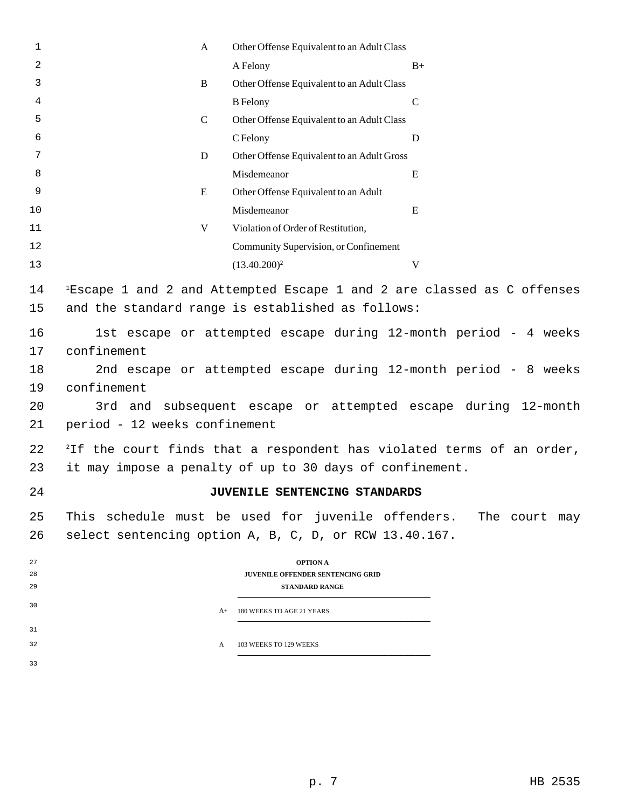| 1        | A                                                                              | Other Offense Equivalent to an Adult Class                 |                                                                                    |  |
|----------|--------------------------------------------------------------------------------|------------------------------------------------------------|------------------------------------------------------------------------------------|--|
| 2        |                                                                                | A Felony                                                   | $B+$                                                                               |  |
| 3        | $\mathbf B$                                                                    | Other Offense Equivalent to an Adult Class                 |                                                                                    |  |
| 4        |                                                                                | <b>B</b> Felony                                            | $\mathcal{C}$                                                                      |  |
| 5        | $\mathcal{C}$                                                                  | Other Offense Equivalent to an Adult Class                 |                                                                                    |  |
| 6        |                                                                                | C Felony                                                   | D                                                                                  |  |
| 7        | ${\bf D}$                                                                      | Other Offense Equivalent to an Adult Gross                 |                                                                                    |  |
| 8        |                                                                                | Misdemeanor                                                | ${\bf E}$                                                                          |  |
| 9        | E                                                                              | Other Offense Equivalent to an Adult                       |                                                                                    |  |
| 10       |                                                                                | Misdemeanor                                                | E                                                                                  |  |
| 11       | $\mathbf V$                                                                    | Violation of Order of Restitution,                         |                                                                                    |  |
| 12       |                                                                                | Community Supervision, or Confinement                      |                                                                                    |  |
| 13       |                                                                                | $(13.40.200)^2$                                            | $\mathbf V$                                                                        |  |
| 14<br>15 |                                                                                | and the standard range is established as follows:          | <sup>1</sup> Escape 1 and 2 and Attempted Escape 1 and 2 are classed as C offenses |  |
| 16       |                                                                                |                                                            | 1st escape or attempted escape during 12-month period - 4 weeks                    |  |
| 17       | confinement                                                                    |                                                            |                                                                                    |  |
| 18       |                                                                                |                                                            |                                                                                    |  |
| 19       | 2nd escape or attempted escape during 12-month period - 8 weeks<br>confinement |                                                            |                                                                                    |  |
| 20       | 3rd and subsequent escape or attempted escape during 12-month                  |                                                            |                                                                                    |  |
| 21       | period - 12 weeks confinement                                                  |                                                            |                                                                                    |  |
| 22       |                                                                                |                                                            | <sup>2</sup> If the court finds that a respondent has violated terms of an order,  |  |
| 23       |                                                                                | it may impose a penalty of up to 30 days of confinement.   |                                                                                    |  |
| 24       |                                                                                | JUVENILE SENTENCING STANDARDS                              |                                                                                    |  |
| 25       |                                                                                |                                                            | This schedule must be used for juvenile offenders. The court may                   |  |
| 26       |                                                                                | select sentencing option A, B, C, D, or RCW 13.40.167.     |                                                                                    |  |
| 27       |                                                                                | <b>OPTION A</b>                                            |                                                                                    |  |
| 28<br>29 |                                                                                | <b>JUVENILE OFFENDER SENTENCING GRID</b><br>STANDARD RANGE |                                                                                    |  |
| 30       | $A+$                                                                           | 180 WEEKS TO AGE 21 YEARS                                  |                                                                                    |  |
| 31       |                                                                                |                                                            |                                                                                    |  |
| 32       | A                                                                              | 103 WEEKS TO 129 WEEKS                                     |                                                                                    |  |
| 33       |                                                                                |                                                            |                                                                                    |  |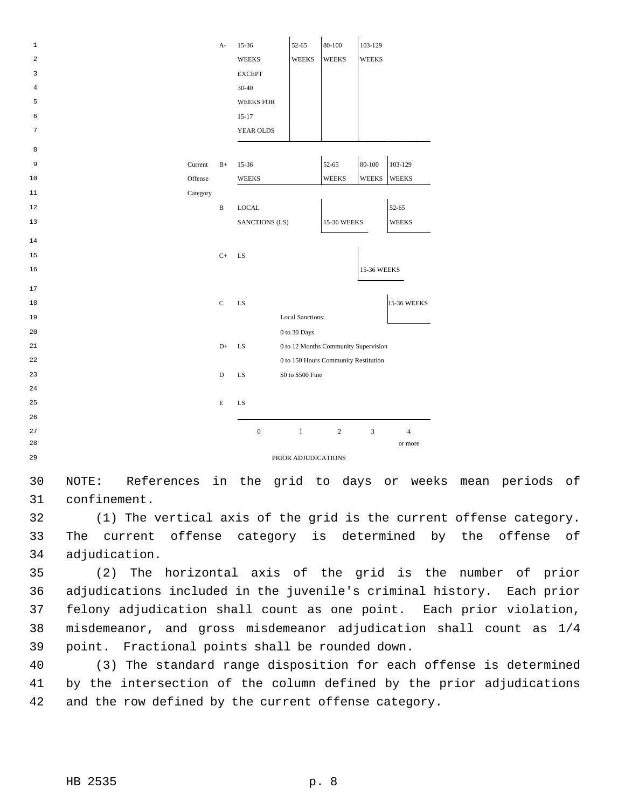| $1\,$ |          | A-           | 15-36            | 52-65                                              | 80-100       | 103-129      |                |
|-------|----------|--------------|------------------|----------------------------------------------------|--------------|--------------|----------------|
| 2     |          |              | <b>WEEKS</b>     | WEEKS                                              | <b>WEEKS</b> | <b>WEEKS</b> |                |
| 3     |          |              | <b>EXCEPT</b>    |                                                    |              |              |                |
| 4     |          |              | 30-40            |                                                    |              |              |                |
| 5     |          |              | <b>WEEKS FOR</b> |                                                    |              |              |                |
| 6     |          |              | $15-17$          |                                                    |              |              |                |
| 7     |          |              | YEAR OLDS        |                                                    |              |              |                |
| 8     |          |              |                  |                                                    |              |              |                |
| 9     | Current  | $B+$         | 15-36            |                                                    | 52-65        | 80-100       | 103-129        |
| 10    | Offense  |              | <b>WEEKS</b>     |                                                    | <b>WEEKS</b> | <b>WEEKS</b> | <b>WEEKS</b>   |
| 11    | Category |              |                  |                                                    |              |              |                |
| 12    |          | $\, {\bf B}$ | <b>LOCAL</b>     |                                                    |              |              | 52-65          |
| 13    |          |              | SANCTIONS (LS)   |                                                    | 15-36 WEEKS  |              | <b>WEEKS</b>   |
| 14    |          |              |                  |                                                    |              |              |                |
| 15    |          | $C+$         | LS               |                                                    |              |              |                |
| 16    |          |              |                  |                                                    |              | 15-36 WEEKS  |                |
|       |          |              |                  |                                                    |              |              |                |
| 17    |          |              |                  |                                                    |              |              |                |
| 18    |          | C            | LS               |                                                    |              |              | 15-36 WEEKS    |
| 19    |          |              |                  | <b>Local Sanctions:</b>                            |              |              |                |
| 20    |          |              |                  | $0$ to $30~\mathrm{Days}$                          |              |              |                |
| 21    |          | $D+$         | LS               | 0 to 12 Months Community Supervision               |              |              |                |
| 22    |          |              |                  | $0$ to $150\ \mathrm{House}$ Community Restitution |              |              |                |
| 23    |          | D            | LS               | \$0 to \$500 Fine                                  |              |              |                |
| 24    |          |              |                  |                                                    |              |              |                |
| 25    |          | E            | LS               |                                                    |              |              |                |
| 26    |          |              |                  |                                                    |              |              |                |
| 27    |          |              | $\boldsymbol{0}$ | $\,1$                                              | $\sqrt{2}$   | 3            | $\overline{4}$ |
| 28    |          |              |                  |                                                    |              |              | or more        |
| 29    |          |              |                  | PRIOR ADJUDICATIONS                                |              |              |                |

30 NOTE: References in the grid to days or weeks mean periods of 31 confinement.

32 (1) The vertical axis of the grid is the current offense category. 33 The current offense category is determined by the offense of 34 adjudication.

35 (2) The horizontal axis of the grid is the number of prior 36 adjudications included in the juvenile's criminal history. Each prior 37 felony adjudication shall count as one point. Each prior violation, 38 misdemeanor, and gross misdemeanor adjudication shall count as 1/4 39 point. Fractional points shall be rounded down.

40 (3) The standard range disposition for each offense is determined 41 by the intersection of the column defined by the prior adjudications 42 and the row defined by the current offense category.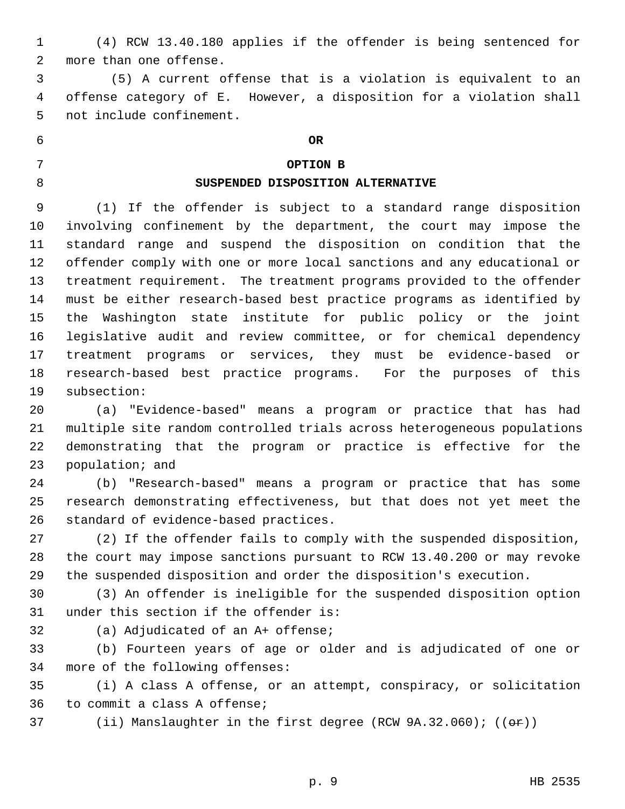1 (4) RCW 13.40.180 applies if the offender is being sentenced for 2 more than one offense.

 3 (5) A current offense that is a violation is equivalent to an 4 offense category of E. However, a disposition for a violation shall 5 not include confinement.

## 6 **OR**

## 7 **OPTION B**

#### 8 **SUSPENDED DISPOSITION ALTERNATIVE**

 9 (1) If the offender is subject to a standard range disposition 10 involving confinement by the department, the court may impose the 11 standard range and suspend the disposition on condition that the 12 offender comply with one or more local sanctions and any educational or 13 treatment requirement. The treatment programs provided to the offender 14 must be either research-based best practice programs as identified by 15 the Washington state institute for public policy or the joint 16 legislative audit and review committee, or for chemical dependency 17 treatment programs or services, they must be evidence-based or 18 research-based best practice programs. For the purposes of this 19 subsection:

20 (a) "Evidence-based" means a program or practice that has had 21 multiple site random controlled trials across heterogeneous populations 22 demonstrating that the program or practice is effective for the 23 population; and

24 (b) "Research-based" means a program or practice that has some 25 research demonstrating effectiveness, but that does not yet meet the 26 standard of evidence-based practices.

27 (2) If the offender fails to comply with the suspended disposition, 28 the court may impose sanctions pursuant to RCW 13.40.200 or may revoke 29 the suspended disposition and order the disposition's execution.

30 (3) An offender is ineligible for the suspended disposition option 31 under this section if the offender is:

32 (a) Adjudicated of an A+ offense;

33 (b) Fourteen years of age or older and is adjudicated of one or 34 more of the following offenses:

35 (i) A class A offense, or an attempt, conspiracy, or solicitation 36 to commit a class A offense;

37 (ii) Manslaughter in the first degree (RCW  $9A.32.060$ ); (( $\Theta$ r))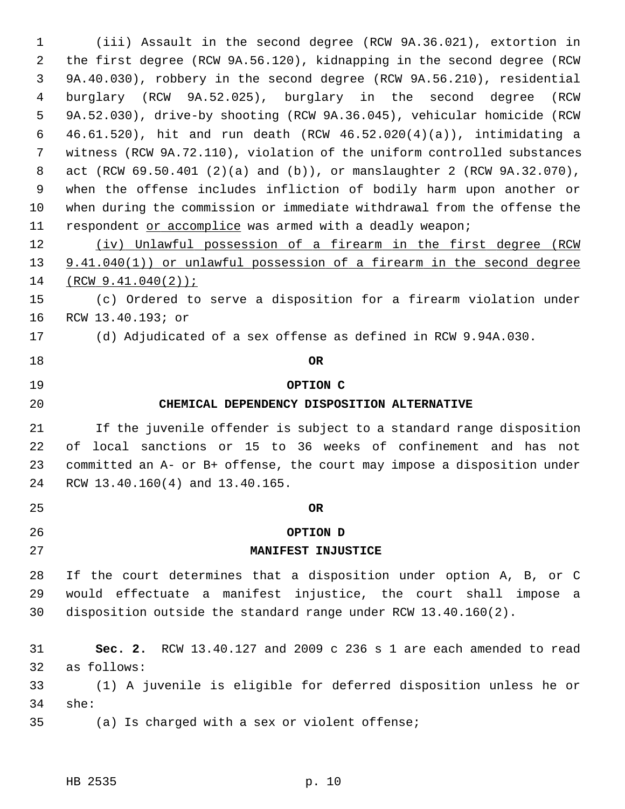1 (iii) Assault in the second degree (RCW 9A.36.021), extortion in 2 the first degree (RCW 9A.56.120), kidnapping in the second degree (RCW 3 9A.40.030), robbery in the second degree (RCW 9A.56.210), residential 4 burglary (RCW 9A.52.025), burglary in the second degree (RCW 5 9A.52.030), drive-by shooting (RCW 9A.36.045), vehicular homicide (RCW 6 46.61.520), hit and run death (RCW 46.52.020(4)(a)), intimidating a 7 witness (RCW 9A.72.110), violation of the uniform controlled substances 8 act (RCW 69.50.401 (2)(a) and (b)), or manslaughter 2 (RCW 9A.32.070), 9 when the offense includes infliction of bodily harm upon another or 10 when during the commission or immediate withdrawal from the offense the 11 respondent or accomplice was armed with a deadly weapon; 12 (iv) Unlawful possession of a firearm in the first degree (RCW 13 9.41.040(1)) or unlawful possession of a firearm in the second degree 14 (RCW 9.41.040(2)); 15 (c) Ordered to serve a disposition for a firearm violation under 16 RCW 13.40.193; or 17 (d) Adjudicated of a sex offense as defined in RCW 9.94A.030. 18 **OR** 19 **OPTION C** 20 **CHEMICAL DEPENDENCY DISPOSITION ALTERNATIVE** 21 If the juvenile offender is subject to a standard range disposition 22 of local sanctions or 15 to 36 weeks of confinement and has not 23 committed an A- or B+ offense, the court may impose a disposition under 24 RCW 13.40.160(4) and 13.40.165. 25 **OR** 26 **OPTION D** 27 **MANIFEST INJUSTICE** 28 If the court determines that a disposition under option A, B, or C 29 would effectuate a manifest injustice, the court shall impose a 30 disposition outside the standard range under RCW 13.40.160(2). 31 **Sec. 2.** RCW 13.40.127 and 2009 c 236 s 1 are each amended to read 32 as follows: 33 (1) A juvenile is eligible for deferred disposition unless he or 34 she: 35 (a) Is charged with a sex or violent offense;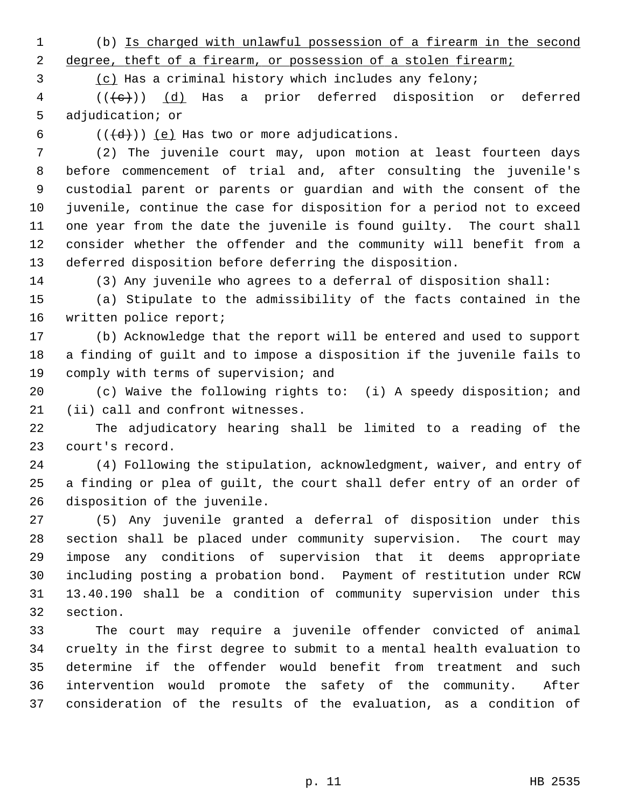1 (b) Is charged with unlawful possession of a firearm in the second

2 degree, theft of a firearm, or possession of a stolen firearm;

3 (c) Has a criminal history which includes any felony;

 $4$  (( $\{e\}$ )) (d) Has a prior deferred disposition or deferred 5 adjudication; or

6  $((\{d\}))(e)$  Has two or more adjudications.

 7 (2) The juvenile court may, upon motion at least fourteen days 8 before commencement of trial and, after consulting the juvenile's 9 custodial parent or parents or guardian and with the consent of the 10 juvenile, continue the case for disposition for a period not to exceed 11 one year from the date the juvenile is found guilty. The court shall 12 consider whether the offender and the community will benefit from a 13 deferred disposition before deferring the disposition.

14 (3) Any juvenile who agrees to a deferral of disposition shall:

15 (a) Stipulate to the admissibility of the facts contained in the 16 written police report;

17 (b) Acknowledge that the report will be entered and used to support 18 a finding of guilt and to impose a disposition if the juvenile fails to 19 comply with terms of supervision; and

20 (c) Waive the following rights to: (i) A speedy disposition; and 21 (ii) call and confront witnesses.

22 The adjudicatory hearing shall be limited to a reading of the 23 court's record.

24 (4) Following the stipulation, acknowledgment, waiver, and entry of 25 a finding or plea of guilt, the court shall defer entry of an order of 26 disposition of the juvenile.

27 (5) Any juvenile granted a deferral of disposition under this 28 section shall be placed under community supervision. The court may 29 impose any conditions of supervision that it deems appropriate 30 including posting a probation bond. Payment of restitution under RCW 31 13.40.190 shall be a condition of community supervision under this 32 section.

33 The court may require a juvenile offender convicted of animal 34 cruelty in the first degree to submit to a mental health evaluation to 35 determine if the offender would benefit from treatment and such 36 intervention would promote the safety of the community. After 37 consideration of the results of the evaluation, as a condition of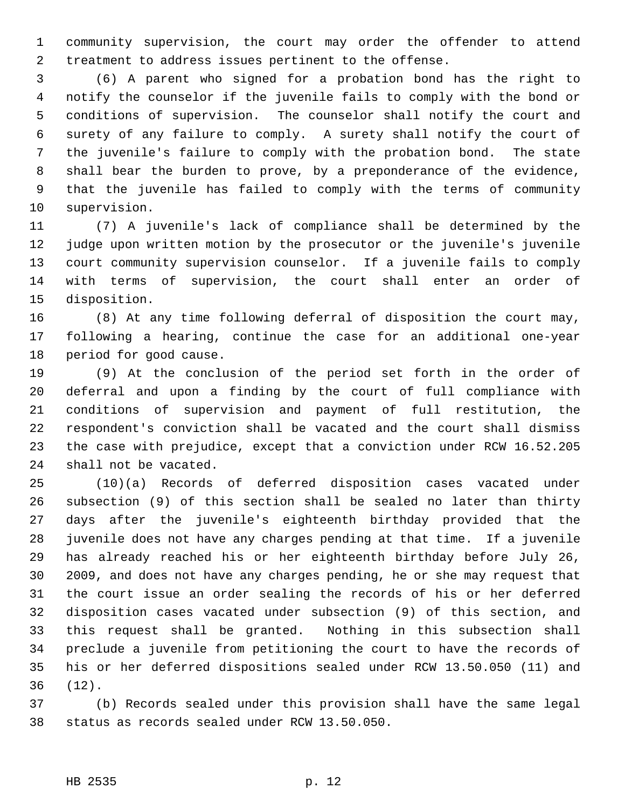1 community supervision, the court may order the offender to attend 2 treatment to address issues pertinent to the offense.

 3 (6) A parent who signed for a probation bond has the right to 4 notify the counselor if the juvenile fails to comply with the bond or 5 conditions of supervision. The counselor shall notify the court and 6 surety of any failure to comply. A surety shall notify the court of 7 the juvenile's failure to comply with the probation bond. The state 8 shall bear the burden to prove, by a preponderance of the evidence, 9 that the juvenile has failed to comply with the terms of community 10 supervision.

11 (7) A juvenile's lack of compliance shall be determined by the 12 judge upon written motion by the prosecutor or the juvenile's juvenile 13 court community supervision counselor. If a juvenile fails to comply 14 with terms of supervision, the court shall enter an order of 15 disposition.

16 (8) At any time following deferral of disposition the court may, 17 following a hearing, continue the case for an additional one-year 18 period for good cause.

19 (9) At the conclusion of the period set forth in the order of 20 deferral and upon a finding by the court of full compliance with 21 conditions of supervision and payment of full restitution, the 22 respondent's conviction shall be vacated and the court shall dismiss 23 the case with prejudice, except that a conviction under RCW 16.52.205 24 shall not be vacated.

25 (10)(a) Records of deferred disposition cases vacated under 26 subsection (9) of this section shall be sealed no later than thirty 27 days after the juvenile's eighteenth birthday provided that the 28 juvenile does not have any charges pending at that time. If a juvenile 29 has already reached his or her eighteenth birthday before July 26, 30 2009, and does not have any charges pending, he or she may request that 31 the court issue an order sealing the records of his or her deferred 32 disposition cases vacated under subsection (9) of this section, and 33 this request shall be granted. Nothing in this subsection shall 34 preclude a juvenile from petitioning the court to have the records of 35 his or her deferred dispositions sealed under RCW 13.50.050 (11) and 36 (12).

37 (b) Records sealed under this provision shall have the same legal 38 status as records sealed under RCW 13.50.050.